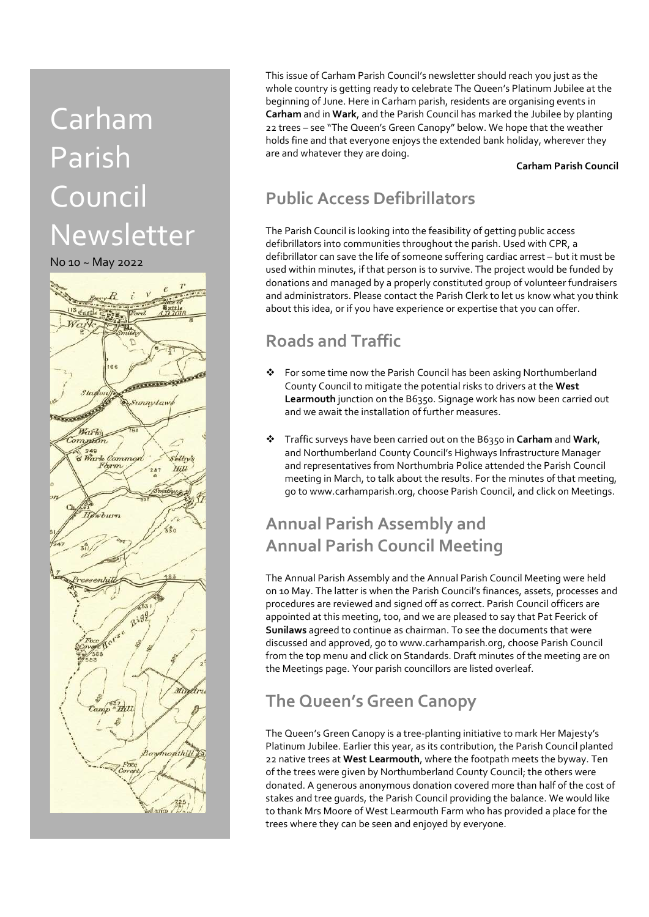# Carham Parish Council Newsletter



This issue of Carham Parish Council's newsletter should reach you just as the whole country is getting ready to celebrate The Queen's Platinum Jubilee at the beginning of June. Here in Carham parish, residents are organising events in Carham and in Wark, and the Parish Council has marked the Jubilee by planting 22 trees – see "The Queen's Green Canopy" below. We hope that the weather holds fine and that everyone enjoys the extended bank holiday, wherever they are and whatever they are doing.

#### Carham Parish Council

### Public Access Defibrillators

The Parish Council is looking into the feasibility of getting public access defibrillators into communities throughout the parish. Used with CPR, a defibrillator can save the life of someone suffering cardiac arrest – but it must be used within minutes, if that person is to survive. The project would be funded by donations and managed by a properly constituted group of volunteer fundraisers and administrators. Please contact the Parish Clerk to let us know what you think about this idea, or if you have experience or expertise that you can offer.

#### Roads and Traffic

- For some time now the Parish Council has been asking Northumberland County Council to mitigate the potential risks to drivers at the West Learmouth junction on the B6350. Signage work has now been carried out and we await the installation of further measures.
- $\div$  Traffic surveys have been carried out on the B6350 in Carham and Wark, and Northumberland County Council's Highways Infrastructure Manager and representatives from Northumbria Police attended the Parish Council meeting in March, to talk about the results. For the minutes of that meeting, go to www.carhamparish.org, choose Parish Council, and click on Meetings.

## Annual Parish Assembly and Annual Parish Council Meeting

The Annual Parish Assembly and the Annual Parish Council Meeting were held on 10 May. The latter is when the Parish Council's finances, assets, processes and procedures are reviewed and signed off as correct. Parish Council officers are appointed at this meeting, too, and we are pleased to say that Pat Feerick of Sunilaws agreed to continue as chairman. To see the documents that were discussed and approved, go to www.carhamparish.org, choose Parish Council from the top menu and click on Standards. Draft minutes of the meeting are on the Meetings page. Your parish councillors are listed overleaf.

### The Queen's Green Canopy

The Queen's Green Canopy is a tree-planting initiative to mark Her Majesty's Platinum Jubilee. Earlier this year, as its contribution, the Parish Council planted 22 native trees at West Learmouth, where the footpath meets the byway. Ten of the trees were given by Northumberland County Council; the others were donated. A generous anonymous donation covered more than half of the cost of stakes and tree guards, the Parish Council providing the balance. We would like to thank Mrs Moore of West Learmouth Farm who has provided a place for the trees where they can be seen and enjoyed by everyone.